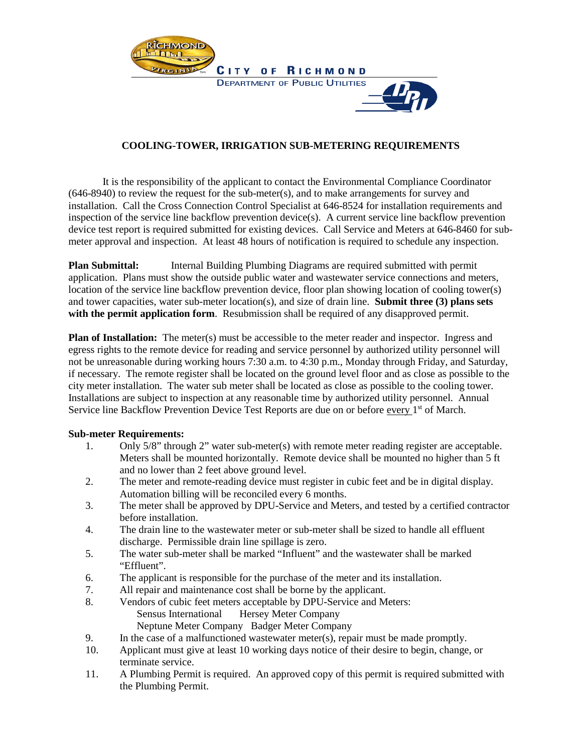

## **COOLING-TOWER, IRRIGATION SUB-METERING REQUIREMENTS**

It is the responsibility of the applicant to contact the Environmental Compliance Coordinator (646-8940) to review the request for the sub-meter(s), and to make arrangements for survey and installation. Call the Cross Connection Control Specialist at 646-8524 for installation requirements and inspection of the service line backflow prevention device(s). A current service line backflow prevention device test report is required submitted for existing devices. Call Service and Meters at 646-8460 for submeter approval and inspection. At least 48 hours of notification is required to schedule any inspection.

**Plan Submittal:** Internal Building Plumbing Diagrams are required submitted with permit application. Plans must show the outside public water and wastewater service connections and meters, location of the service line backflow prevention device, floor plan showing location of cooling tower(s) and tower capacities, water sub-meter location(s), and size of drain line. **Submit three (3) plans sets with the permit application form**. Resubmission shall be required of any disapproved permit.

**Plan of Installation:** The meter(s) must be accessible to the meter reader and inspector. Ingress and egress rights to the remote device for reading and service personnel by authorized utility personnel will not be unreasonable during working hours 7:30 a.m. to 4:30 p.m., Monday through Friday, and Saturday, if necessary. The remote register shall be located on the ground level floor and as close as possible to the city meter installation. The water sub meter shall be located as close as possible to the cooling tower. Installations are subject to inspection at any reasonable time by authorized utility personnel. Annual Service line Backflow Prevention Device Test Reports are due on or before every 1<sup>st</sup> of March.

## **Sub-meter Requirements:**

- 1. Only 5/8" through 2" water sub-meter(s) with remote meter reading register are acceptable. Meters shall be mounted horizontally. Remote device shall be mounted no higher than 5 ft and no lower than 2 feet above ground level.
- 2. The meter and remote-reading device must register in cubic feet and be in digital display. Automation billing will be reconciled every 6 months.
- 3. The meter shall be approved by DPU-Service and Meters, and tested by a certified contractor before installation.
- 4. The drain line to the wastewater meter or sub-meter shall be sized to handle all effluent discharge. Permissible drain line spillage is zero.
- 5. The water sub-meter shall be marked "Influent" and the wastewater shall be marked "Effluent".
- 6. The applicant is responsible for the purchase of the meter and its installation.
- 7. All repair and maintenance cost shall be borne by the applicant.
- 8. Vendors of cubic feet meters acceptable by DPU-Service and Meters: Sensus International Hersey Meter Company Neptune Meter Company Badger Meter Company
- 9. In the case of a malfunctioned wastewater meter(s), repair must be made promptly.
- 10. Applicant must give at least 10 working days notice of their desire to begin, change, or terminate service.
- 11. A Plumbing Permit is required. An approved copy of this permit is required submitted with the Plumbing Permit.